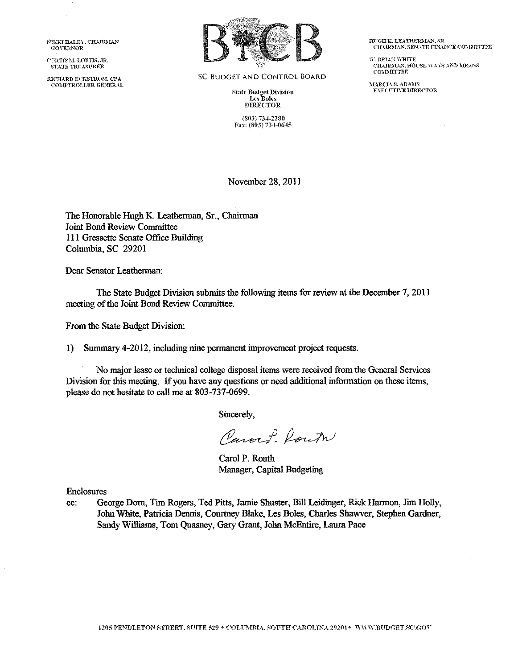NIKKI HALEY, CHAIRMAN GO\'ERNOR

CTRTIS M. LOFTIS. JR. STATE TRF.ASFR.ER

RICHARD ECKSTROM, CPA COMPTROLLER GENERAL



SC BUDGET AND CONTROL BOARD

State Budget Division Les Boles DIRECTOR

(803) 73-l-2280 Fax: (803) 734-0645 IIUGHK. LEATHERMAN, SR. CHAIRMAN, SENATE FINANCE COMMITTEE

 $\mathbf W$ . BRIAN  $\mathbf W$ HITE  $\mathop{\rm CHAIRMAN}\nolimits\,$  HOUSE WAYS AND MEANS ('01\.I:MITTEE

MARCIA S. ADAMS **EXECUTIVE DIRECTOR** 

November 28, 2011

The Honorable Hugh K. Leatherman, Sr., Chairman Joint Bond Review Committee 111 Gressette Senate Office Building Columbia, SC 29201

Dear Senator Leatherman:

The State Budget Division submits the following items for review at the December 7, 2011 meeting of the Joint Bond Review Committee.

From the State Budget Division:

1) Summary 4-2012, including nine permanent improvement project requests.

No major lease or teclmical college disposal items were received from the General Services Division for this meeting. If you have any questions or need additional information on these items, please do not hesitate to call me at 803-737-0699.

Sincerely,

Carock Route

Carol P. Routh Manager, Capital Budgeting

Enclosures

cc: George Dorn, Tim Rogers, Ted Pitts, Jamie Shuster, Bill Leidinger, Rick Harmon, Jim Holly, John White, Patricia Dennis, Courtney Blake, Les Boles, Charles Shawver, Stephen Gardner, Sandy Williams, Tom Quasney, Gary Grant, John McEntire, Laura Pace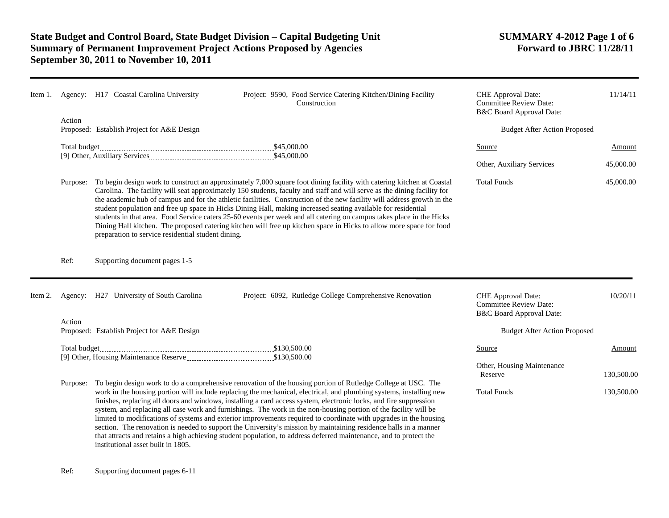|         |                                                      | Item 1. Agency: H17 Coastal Carolina University                                                                                                                                                                                                                                                                                                                                                                                                                                                                                                                                                                                                                                                                                                                                                             |  |  | Project: 9590, Food Service Catering Kitchen/Dining Facility<br>Construction                                                                                                                                                                                                                                                                                                                                                                                                                                                                                                                                                                                                                                                                                                                                                                 | CHE Approval Date:<br><b>Committee Review Date:</b><br>B&C Board Approval Date: | 11/14/11   |
|---------|------------------------------------------------------|-------------------------------------------------------------------------------------------------------------------------------------------------------------------------------------------------------------------------------------------------------------------------------------------------------------------------------------------------------------------------------------------------------------------------------------------------------------------------------------------------------------------------------------------------------------------------------------------------------------------------------------------------------------------------------------------------------------------------------------------------------------------------------------------------------------|--|--|----------------------------------------------------------------------------------------------------------------------------------------------------------------------------------------------------------------------------------------------------------------------------------------------------------------------------------------------------------------------------------------------------------------------------------------------------------------------------------------------------------------------------------------------------------------------------------------------------------------------------------------------------------------------------------------------------------------------------------------------------------------------------------------------------------------------------------------------|---------------------------------------------------------------------------------|------------|
|         | Action<br>Proposed: Establish Project for A&E Design |                                                                                                                                                                                                                                                                                                                                                                                                                                                                                                                                                                                                                                                                                                                                                                                                             |  |  | <b>Budget After Action Proposed</b>                                                                                                                                                                                                                                                                                                                                                                                                                                                                                                                                                                                                                                                                                                                                                                                                          |                                                                                 |            |
|         | Total budget                                         |                                                                                                                                                                                                                                                                                                                                                                                                                                                                                                                                                                                                                                                                                                                                                                                                             |  |  | <b>Source</b>                                                                                                                                                                                                                                                                                                                                                                                                                                                                                                                                                                                                                                                                                                                                                                                                                                | Amount                                                                          |            |
|         |                                                      |                                                                                                                                                                                                                                                                                                                                                                                                                                                                                                                                                                                                                                                                                                                                                                                                             |  |  |                                                                                                                                                                                                                                                                                                                                                                                                                                                                                                                                                                                                                                                                                                                                                                                                                                              | Other, Auxiliary Services                                                       | 45,000.00  |
|         |                                                      | Purpose: To begin design work to construct an approximately 7,000 square foot dining facility with catering kitchen at Coastal<br>Carolina. The facility will seat approximately 150 students, faculty and staff and will serve as the dining facility for<br>the academic hub of campus and for the athletic facilities. Construction of the new facility will address growth in the<br>student population and free up space in Hicks Dining Hall, making increased seating available for residential<br>students in that area. Food Service caters 25-60 events per week and all catering on campus takes place in the Hicks<br>Dining Hall kitchen. The proposed catering kitchen will free up kitchen space in Hicks to allow more space for food<br>preparation to service residential student dining. |  |  |                                                                                                                                                                                                                                                                                                                                                                                                                                                                                                                                                                                                                                                                                                                                                                                                                                              | <b>Total Funds</b>                                                              | 45,000.00  |
|         | Ref:                                                 | Supporting document pages 1-5                                                                                                                                                                                                                                                                                                                                                                                                                                                                                                                                                                                                                                                                                                                                                                               |  |  |                                                                                                                                                                                                                                                                                                                                                                                                                                                                                                                                                                                                                                                                                                                                                                                                                                              |                                                                                 |            |
| Item 2. |                                                      | Agency: H27 University of South Carolina                                                                                                                                                                                                                                                                                                                                                                                                                                                                                                                                                                                                                                                                                                                                                                    |  |  | Project: 6092, Rutledge College Comprehensive Renovation                                                                                                                                                                                                                                                                                                                                                                                                                                                                                                                                                                                                                                                                                                                                                                                     | CHE Approval Date:<br><b>Committee Review Date:</b><br>B&C Board Approval Date: | 10/20/11   |
|         | Action                                               | Proposed: Establish Project for A&E Design                                                                                                                                                                                                                                                                                                                                                                                                                                                                                                                                                                                                                                                                                                                                                                  |  |  |                                                                                                                                                                                                                                                                                                                                                                                                                                                                                                                                                                                                                                                                                                                                                                                                                                              | <b>Budget After Action Proposed</b>                                             |            |
|         |                                                      |                                                                                                                                                                                                                                                                                                                                                                                                                                                                                                                                                                                                                                                                                                                                                                                                             |  |  |                                                                                                                                                                                                                                                                                                                                                                                                                                                                                                                                                                                                                                                                                                                                                                                                                                              | <b>Source</b>                                                                   | Amount     |
|         |                                                      |                                                                                                                                                                                                                                                                                                                                                                                                                                                                                                                                                                                                                                                                                                                                                                                                             |  |  |                                                                                                                                                                                                                                                                                                                                                                                                                                                                                                                                                                                                                                                                                                                                                                                                                                              | Other, Housing Maintenance<br>Reserve                                           | 130,500.00 |
|         | Purpose:                                             | institutional asset built in 1805.                                                                                                                                                                                                                                                                                                                                                                                                                                                                                                                                                                                                                                                                                                                                                                          |  |  | To begin design work to do a comprehensive renovation of the housing portion of Rutledge College at USC. The<br>work in the housing portion will include replacing the mechanical, electrical, and plumbing systems, installing new<br>finishes, replacing all doors and windows, installing a card access system, electronic locks, and fire suppression<br>system, and replacing all case work and furnishings. The work in the non-housing portion of the facility will be<br>limited to modifications of systems and exterior improvements required to coordinate with upgrades in the housing<br>section. The renovation is needed to support the University's mission by maintaining residence halls in a manner<br>that attracts and retains a high achieving student population, to address deferred maintenance, and to protect the | <b>Total Funds</b>                                                              | 130,500.00 |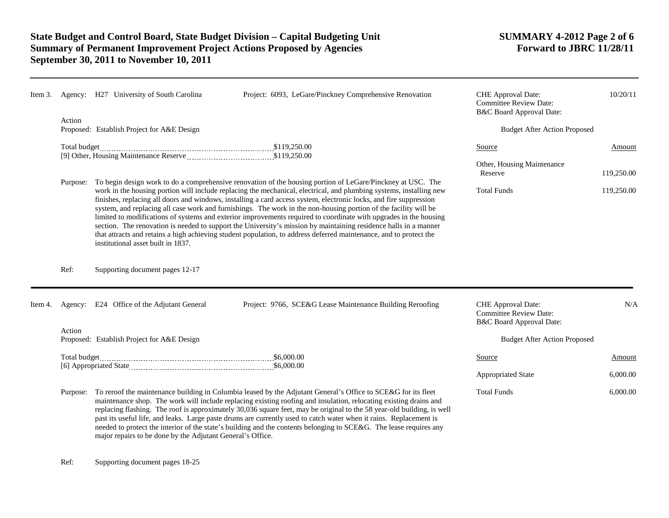| Item 3. |          | Agency: H27 University of South Carolina                                                                                                                                                                                                                                                                                                                                                                                                                                                                                                                                                                                                                                                                                                                                                                                                                                          | Project: 6093, LeGare/Pinckney Comprehensive Renovation                                                                                                                                                                                                                                                                                                                                                                                                                                                                                                                                                           | CHE Approval Date:<br><b>Committee Review Date:</b><br>B&C Board Approval Date: | 10/20/11                            |  |  |
|---------|----------|-----------------------------------------------------------------------------------------------------------------------------------------------------------------------------------------------------------------------------------------------------------------------------------------------------------------------------------------------------------------------------------------------------------------------------------------------------------------------------------------------------------------------------------------------------------------------------------------------------------------------------------------------------------------------------------------------------------------------------------------------------------------------------------------------------------------------------------------------------------------------------------|-------------------------------------------------------------------------------------------------------------------------------------------------------------------------------------------------------------------------------------------------------------------------------------------------------------------------------------------------------------------------------------------------------------------------------------------------------------------------------------------------------------------------------------------------------------------------------------------------------------------|---------------------------------------------------------------------------------|-------------------------------------|--|--|
|         | Action   | Proposed: Establish Project for A&E Design                                                                                                                                                                                                                                                                                                                                                                                                                                                                                                                                                                                                                                                                                                                                                                                                                                        |                                                                                                                                                                                                                                                                                                                                                                                                                                                                                                                                                                                                                   |                                                                                 | <b>Budget After Action Proposed</b> |  |  |
|         |          |                                                                                                                                                                                                                                                                                                                                                                                                                                                                                                                                                                                                                                                                                                                                                                                                                                                                                   |                                                                                                                                                                                                                                                                                                                                                                                                                                                                                                                                                                                                                   | Source<br>Other, Housing Maintenance                                            | Amount                              |  |  |
|         |          |                                                                                                                                                                                                                                                                                                                                                                                                                                                                                                                                                                                                                                                                                                                                                                                                                                                                                   |                                                                                                                                                                                                                                                                                                                                                                                                                                                                                                                                                                                                                   | Reserve                                                                         | 119,250.00                          |  |  |
|         | Purpose: | To begin design work to do a comprehensive renovation of the housing portion of LeGare/Pinckney at USC. The<br>work in the housing portion will include replacing the mechanical, electrical, and plumbing systems, installing new<br>finishes, replacing all doors and windows, installing a card access system, electronic locks, and fire suppression<br>system, and replacing all case work and furnishings. The work in the non-housing portion of the facility will be<br>limited to modifications of systems and exterior improvements required to coordinate with upgrades in the housing<br>section. The renovation is needed to support the University's mission by maintaining residence halls in a manner<br>that attracts and retains a high achieving student population, to address deferred maintenance, and to protect the<br>institutional asset built in 1837. | <b>Total Funds</b>                                                                                                                                                                                                                                                                                                                                                                                                                                                                                                                                                                                                | 119,250.00                                                                      |                                     |  |  |
|         | Ref:     | Supporting document pages 12-17                                                                                                                                                                                                                                                                                                                                                                                                                                                                                                                                                                                                                                                                                                                                                                                                                                                   |                                                                                                                                                                                                                                                                                                                                                                                                                                                                                                                                                                                                                   |                                                                                 |                                     |  |  |
| Item 4. |          | Agency: E24 Office of the Adjutant General                                                                                                                                                                                                                                                                                                                                                                                                                                                                                                                                                                                                                                                                                                                                                                                                                                        | Project: 9766, SCE&G Lease Maintenance Building Reroofing                                                                                                                                                                                                                                                                                                                                                                                                                                                                                                                                                         | CHE Approval Date:<br><b>Committee Review Date:</b><br>B&C Board Approval Date: | N/A                                 |  |  |
|         | Action   | Proposed: Establish Project for A&E Design                                                                                                                                                                                                                                                                                                                                                                                                                                                                                                                                                                                                                                                                                                                                                                                                                                        |                                                                                                                                                                                                                                                                                                                                                                                                                                                                                                                                                                                                                   | <b>Budget After Action Proposed</b>                                             |                                     |  |  |
|         |          |                                                                                                                                                                                                                                                                                                                                                                                                                                                                                                                                                                                                                                                                                                                                                                                                                                                                                   |                                                                                                                                                                                                                                                                                                                                                                                                                                                                                                                                                                                                                   | Source                                                                          | Amount                              |  |  |
|         |          |                                                                                                                                                                                                                                                                                                                                                                                                                                                                                                                                                                                                                                                                                                                                                                                                                                                                                   |                                                                                                                                                                                                                                                                                                                                                                                                                                                                                                                                                                                                                   | <b>Appropriated State</b>                                                       | 6,000.00                            |  |  |
|         |          |                                                                                                                                                                                                                                                                                                                                                                                                                                                                                                                                                                                                                                                                                                                                                                                                                                                                                   | Purpose: To reroof the maintenance building in Columbia leased by the Adjutant General's Office to SCE&G for its fleet<br>maintenance shop. The work will include replacing existing roofing and insulation, relocating existing drains and<br>replacing flashing. The roof is approximately 30,036 square feet, may be original to the 58 year-old building, is well<br>past its useful life, and leaks. Large paste drums are currently used to catch water when it rains. Replacement is<br>needed to protect the interior of the state's building and the contents belonging to SCE&G. The lease requires any | <b>Total Funds</b>                                                              | 6,000.00                            |  |  |

major repairs to be done by the Adjutant General's Office.

Ref: Supporting document pages 18-25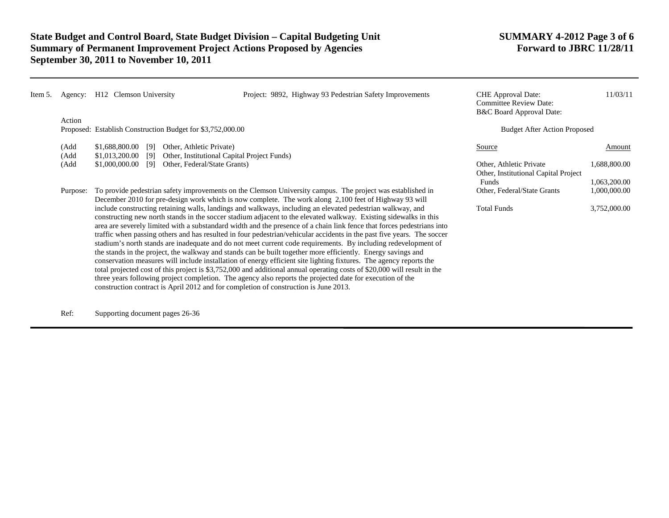| Item 5. | Agency:                                                                                                                                                                                                                                                                                                                                                                                                                                                                                                                                                                                                                                                                                                                                                                                                                                                                                                                                                                                                                                                                                                                                                                                           | H <sub>12</sub> Clemson University                                   | Project: 9892, Highway 93 Pedestrian Safety Improvements                                                                                                                                                            | <b>CHE</b> Approval Date:<br><b>Committee Review Date:</b><br>B&C Board Approval Date: | 11/03/11                     |
|---------|---------------------------------------------------------------------------------------------------------------------------------------------------------------------------------------------------------------------------------------------------------------------------------------------------------------------------------------------------------------------------------------------------------------------------------------------------------------------------------------------------------------------------------------------------------------------------------------------------------------------------------------------------------------------------------------------------------------------------------------------------------------------------------------------------------------------------------------------------------------------------------------------------------------------------------------------------------------------------------------------------------------------------------------------------------------------------------------------------------------------------------------------------------------------------------------------------|----------------------------------------------------------------------|---------------------------------------------------------------------------------------------------------------------------------------------------------------------------------------------------------------------|----------------------------------------------------------------------------------------|------------------------------|
|         |                                                                                                                                                                                                                                                                                                                                                                                                                                                                                                                                                                                                                                                                                                                                                                                                                                                                                                                                                                                                                                                                                                                                                                                                   | Action<br>Proposed: Establish Construction Budget for \$3,752,000.00 |                                                                                                                                                                                                                     | <b>Budget After Action Proposed</b>                                                    |                              |
|         | (Add<br>\$1,688,800.00<br>[9]<br>(Add<br>\$1,013,200.00<br>[9]                                                                                                                                                                                                                                                                                                                                                                                                                                                                                                                                                                                                                                                                                                                                                                                                                                                                                                                                                                                                                                                                                                                                    |                                                                      | Other, Athletic Private)<br>Other, Institutional Capital Project Funds)                                                                                                                                             | Source                                                                                 | Amount                       |
|         | (Add                                                                                                                                                                                                                                                                                                                                                                                                                                                                                                                                                                                                                                                                                                                                                                                                                                                                                                                                                                                                                                                                                                                                                                                              | \$1,000,000.00<br>[9]                                                | Other, Federal/State Grants)                                                                                                                                                                                        | Other, Athletic Private<br>Other, Institutional Capital Project                        | 1,688,800.00                 |
|         | Purpose:                                                                                                                                                                                                                                                                                                                                                                                                                                                                                                                                                                                                                                                                                                                                                                                                                                                                                                                                                                                                                                                                                                                                                                                          |                                                                      | To provide pedestrian safety improvements on the Clemson University campus. The project was established in<br>December 2010 for pre-design work which is now complete. The work along 2,100 feet of Highway 93 will | Funds<br>Other, Federal/State Grants                                                   | 1,063,200.00<br>1,000,000.00 |
|         | include constructing retaining walls, landings and walkways, including an elevated pedestrian walkway, and<br><b>Total Funds</b><br>constructing new north stands in the soccer stadium adjacent to the elevated walkway. Existing sidewalks in this<br>area are severely limited with a substandard width and the presence of a chain link fence that forces pedestrians into<br>traffic when passing others and has resulted in four pedestrian/vehicular accidents in the past five years. The soccer<br>stadium's north stands are inadequate and do not meet current code requirements. By including redevelopment of<br>the stands in the project, the walkway and stands can be built together more efficiently. Energy savings and<br>conservation measures will include installation of energy efficient site lighting fixtures. The agency reports the<br>total projected cost of this project is \$3,752,000 and additional annual operating costs of \$20,000 will result in the<br>three years following project completion. The agency also reports the projected date for execution of the<br>construction contract is April 2012 and for completion of construction is June 2013. |                                                                      |                                                                                                                                                                                                                     |                                                                                        |                              |

Ref: Supporting document pages 26-36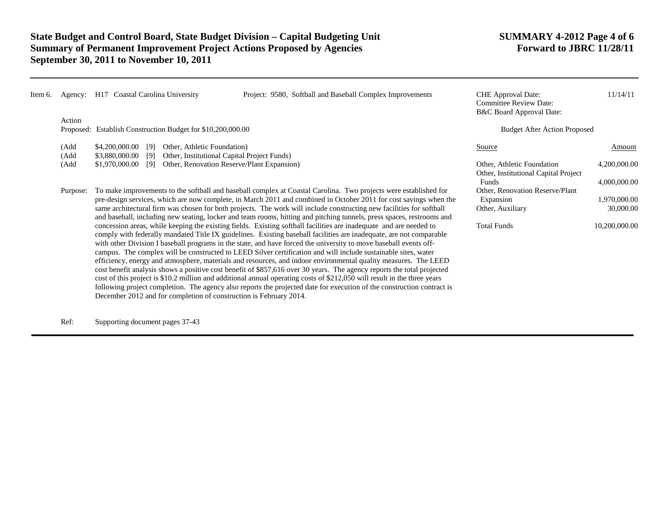| Item 6. | Agency:              | H17 Coastal Carolina University                                                                                                                                                                                                                                                                                                                                                                                                                                                                                                                                                                                                                                                                                                                                                                                                                                                                                                                                                                                                                                                                                                                                                                                                                                                                                                                                                                                                                                                                                                                     |                                                                                                                          | Project: 9580, Softball and Baseball Complex Improvements | <b>CHE</b> Approval Date:<br><b>Committee Review Date:</b><br>B&C Board Approval Date:          | 11/14/11                                                   |
|---------|----------------------|-----------------------------------------------------------------------------------------------------------------------------------------------------------------------------------------------------------------------------------------------------------------------------------------------------------------------------------------------------------------------------------------------------------------------------------------------------------------------------------------------------------------------------------------------------------------------------------------------------------------------------------------------------------------------------------------------------------------------------------------------------------------------------------------------------------------------------------------------------------------------------------------------------------------------------------------------------------------------------------------------------------------------------------------------------------------------------------------------------------------------------------------------------------------------------------------------------------------------------------------------------------------------------------------------------------------------------------------------------------------------------------------------------------------------------------------------------------------------------------------------------------------------------------------------------|--------------------------------------------------------------------------------------------------------------------------|-----------------------------------------------------------|-------------------------------------------------------------------------------------------------|------------------------------------------------------------|
|         | Action               | Proposed: Establish Construction Budget for \$10,200,000.00                                                                                                                                                                                                                                                                                                                                                                                                                                                                                                                                                                                                                                                                                                                                                                                                                                                                                                                                                                                                                                                                                                                                                                                                                                                                                                                                                                                                                                                                                         |                                                                                                                          |                                                           | <b>Budget After Action Proposed</b>                                                             |                                                            |
|         | (Add<br>(Add<br>(Add | \$4,200,000.00<br>[9]<br>\$3,880,000.00<br>[9]<br>\$1,970,000.00<br>[9]                                                                                                                                                                                                                                                                                                                                                                                                                                                                                                                                                                                                                                                                                                                                                                                                                                                                                                                                                                                                                                                                                                                                                                                                                                                                                                                                                                                                                                                                             | Other, Athletic Foundation)<br>Other, Institutional Capital Project Funds)<br>Other, Renovation Reserve/Plant Expansion) |                                                           | Source<br>Other, Athletic Foundation<br>Other, Institutional Capital Project                    | Amount<br>4,200,000.00                                     |
|         | Purpose:             | To make improvements to the softball and baseball complex at Coastal Carolina. Two projects were established for<br>pre-design services, which are now complete, in March 2011 and combined in October 2011 for cost savings when the<br>same architectural firm was chosen for both projects. The work will include constructing new facilities for softball<br>and baseball, including new seating, locker and team rooms, hitting and pitching tunnels, press spaces, restrooms and<br>concession areas, while keeping the existing fields. Existing softball facilities are inadequate and are needed to<br>comply with federally mandated Title IX guidelines. Existing baseball facilities are inadequate, are not comparable<br>with other Division I baseball programs in the state, and have forced the university to move baseball events off-<br>campus. The complex will be constructed to LEED Silver certification and will include sustainable sites, water<br>efficiency, energy and atmosphere, materials and resources, and indoor environmental quality measures. The LEED<br>cost benefit analysis shows a positive cost benefit of \$857,616 over 30 years. The agency reports the total projected<br>cost of this project is \$10.2 million and additional annual operating costs of \$212,050 will result in the three years<br>following project completion. The agency also reports the projected date for execution of the construction contract is<br>December 2012 and for completion of construction is February 2014. |                                                                                                                          |                                                           | Funds<br>Other, Renovation Reserve/Plant<br>Expansion<br>Other, Auxiliary<br><b>Total Funds</b> | 4,000,000.00<br>1,970,000.00<br>30,000.00<br>10,200,000.00 |

Ref: Supporting document pages 37-43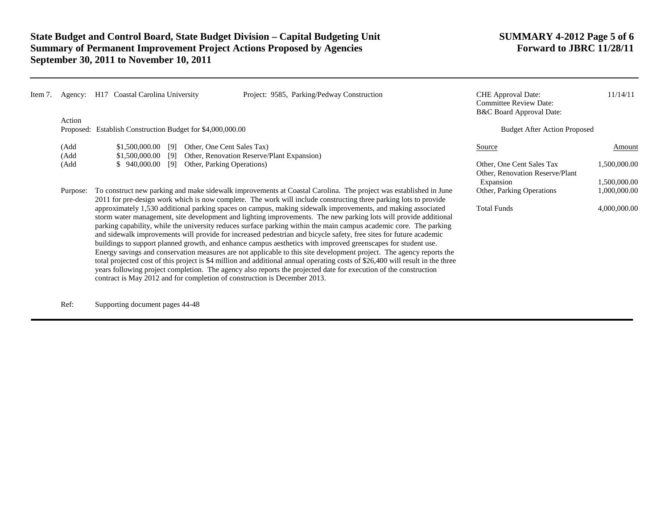| Item 7. | Agency:                                                              | Coastal Carolina University<br>H17                                                                                                                                                                                                                                                                                                                                                                                                                                                                                                                                                                                                                                                                                                                                                                                                                                                                                                                                                                                                                       | Project: 9585, Parking/Pedway Construction | <b>CHE</b> Approval Date:<br><b>Committee Review Date:</b><br><b>B&amp;C Board Approval Date:</b> | 11/14/11                     |
|---------|----------------------------------------------------------------------|----------------------------------------------------------------------------------------------------------------------------------------------------------------------------------------------------------------------------------------------------------------------------------------------------------------------------------------------------------------------------------------------------------------------------------------------------------------------------------------------------------------------------------------------------------------------------------------------------------------------------------------------------------------------------------------------------------------------------------------------------------------------------------------------------------------------------------------------------------------------------------------------------------------------------------------------------------------------------------------------------------------------------------------------------------|--------------------------------------------|---------------------------------------------------------------------------------------------------|------------------------------|
|         | Action<br>Proposed: Establish Construction Budget for \$4,000,000.00 |                                                                                                                                                                                                                                                                                                                                                                                                                                                                                                                                                                                                                                                                                                                                                                                                                                                                                                                                                                                                                                                          |                                            | <b>Budget After Action Proposed</b>                                                               |                              |
|         | (Add<br>(Add                                                         | \$1,500,000.00<br>Other, One Cent Sales Tax)<br>[9]<br>\$1,500,000.00<br>[9]                                                                                                                                                                                                                                                                                                                                                                                                                                                                                                                                                                                                                                                                                                                                                                                                                                                                                                                                                                             | Other, Renovation Reserve/Plant Expansion) | Source                                                                                            | Amount                       |
|         | (Add                                                                 | \$940,000.00<br>Other, Parking Operations)<br>[9]                                                                                                                                                                                                                                                                                                                                                                                                                                                                                                                                                                                                                                                                                                                                                                                                                                                                                                                                                                                                        |                                            | Other, One Cent Sales Tax<br>Other, Renovation Reserve/Plant<br>Expansion                         | 1,500,000.00<br>1,500,000.00 |
|         | Purpose:                                                             | To construct new parking and make sidewalk improvements at Coastal Carolina. The project was established in June<br>2011 for pre-design work which is now complete. The work will include constructing three parking lots to provide                                                                                                                                                                                                                                                                                                                                                                                                                                                                                                                                                                                                                                                                                                                                                                                                                     | Other, Parking Operations                  | 1,000,000.00                                                                                      |                              |
|         |                                                                      | approximately 1,530 additional parking spaces on campus, making sidewalk improvements, and making associated<br>storm water management, site development and lighting improvements. The new parking lots will provide additional<br>parking capability, while the university reduces surface parking within the main campus academic core. The parking<br>and sidewalk improvements will provide for increased pedestrian and bicycle safety, free sites for future academic<br>buildings to support planned growth, and enhance campus aesthetics with improved greenscapes for student use.<br>Energy savings and conservation measures are not applicable to this site development project. The agency reports the<br>total projected cost of this project is \$4 million and additional annual operating costs of \$26,400 will result in the three<br>years following project completion. The agency also reports the projected date for execution of the construction<br>contract is May 2012 and for completion of construction is December 2013. | <b>Total Funds</b>                         | 4,000,000.00                                                                                      |                              |

Ref: Supporting document pages 44-48